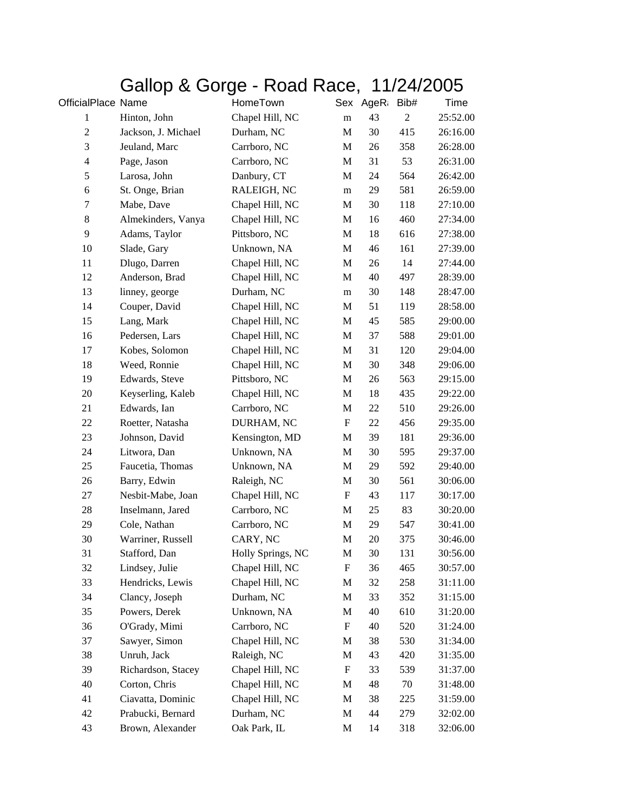## Gallop & Gorge - Road Race, 11/24/2005

| OfficialPlace Name       |                     | HomeTown          |                           | Sex AgeR: | Bib#           | Time     |
|--------------------------|---------------------|-------------------|---------------------------|-----------|----------------|----------|
| 1                        | Hinton, John        | Chapel Hill, NC   | ${\bf m}$                 | 43        | $\mathfrak{2}$ | 25:52.00 |
| $\boldsymbol{2}$         | Jackson, J. Michael | Durham, NC        | M                         | 30        | 415            | 26:16.00 |
| $\mathfrak{Z}$           | Jeuland, Marc       | Carrboro, NC      | M                         | 26        | 358            | 26:28.00 |
| $\overline{\mathcal{A}}$ | Page, Jason         | Carrboro, NC      | M                         | 31        | 53             | 26:31.00 |
| $\mathfrak s$            | Larosa, John        | Danbury, CT       | M                         | 24        | 564            | 26:42.00 |
| 6                        | St. Onge, Brian     | RALEIGH, NC       | m                         | 29        | 581            | 26:59.00 |
| 7                        | Mabe, Dave          | Chapel Hill, NC   | M                         | 30        | 118            | 27:10.00 |
| 8                        | Almekinders, Vanya  | Chapel Hill, NC   | M                         | 16        | 460            | 27:34.00 |
| 9                        | Adams, Taylor       | Pittsboro, NC     | M                         | 18        | 616            | 27:38.00 |
| 10                       | Slade, Gary         | Unknown, NA       | M                         | 46        | 161            | 27:39.00 |
| 11                       | Dlugo, Darren       | Chapel Hill, NC   | M                         | 26        | 14             | 27:44.00 |
| 12                       | Anderson, Brad      | Chapel Hill, NC   | M                         | 40        | 497            | 28:39.00 |
| 13                       | linney, george      | Durham, NC        | m                         | 30        | 148            | 28:47.00 |
| 14                       | Couper, David       | Chapel Hill, NC   | M                         | 51        | 119            | 28:58.00 |
| 15                       | Lang, Mark          | Chapel Hill, NC   | M                         | 45        | 585            | 29:00.00 |
| 16                       | Pedersen, Lars      | Chapel Hill, NC   | M                         | 37        | 588            | 29:01.00 |
| 17                       | Kobes, Solomon      | Chapel Hill, NC   | M                         | 31        | 120            | 29:04.00 |
| 18                       | Weed, Ronnie        | Chapel Hill, NC   | M                         | 30        | 348            | 29:06.00 |
| 19                       | Edwards, Steve      | Pittsboro, NC     | M                         | 26        | 563            | 29:15.00 |
| 20                       | Keyserling, Kaleb   | Chapel Hill, NC   | M                         | 18        | 435            | 29:22.00 |
| 21                       | Edwards, Ian        | Carrboro, NC      | M                         | 22        | 510            | 29:26.00 |
| 22                       | Roetter, Natasha    | DURHAM, NC        | $\boldsymbol{\mathrm{F}}$ | 22        | 456            | 29:35.00 |
| 23                       | Johnson, David      | Kensington, MD    | M                         | 39        | 181            | 29:36.00 |
| 24                       | Litwora, Dan        | Unknown, NA       | M                         | 30        | 595            | 29:37.00 |
| 25                       | Faucetia, Thomas    | Unknown, NA       | M                         | 29        | 592            | 29:40.00 |
| 26                       | Barry, Edwin        | Raleigh, NC       | M                         | 30        | 561            | 30:06.00 |
| 27                       | Nesbit-Mabe, Joan   | Chapel Hill, NC   | $\boldsymbol{\mathrm{F}}$ | 43        | 117            | 30:17.00 |
| 28                       | Inselmann, Jared    | Carrboro, NC      | M                         | 25        | 83             | 30:20.00 |
| 29                       | Cole, Nathan        | Carrboro, NC      | M                         | 29        | 547            | 30:41.00 |
| 30                       | Warriner, Russell   | CARY, NC          | M                         | 20        | 375            | 30:46.00 |
| 31                       | Stafford, Dan       | Holly Springs, NC | M                         | 30        | 131            | 30:56.00 |
| 32                       | Lindsey, Julie      | Chapel Hill, NC   | F                         | 36        | 465            | 30:57.00 |
| 33                       | Hendricks, Lewis    | Chapel Hill, NC   | M                         | 32        | 258            | 31:11.00 |
| 34                       | Clancy, Joseph      | Durham, NC        | M                         | 33        | 352            | 31:15.00 |
| 35                       | Powers, Derek       | Unknown, NA       | M                         | 40        | 610            | 31:20.00 |
| 36                       | O'Grady, Mimi       | Carrboro, NC      | F                         | 40        | 520            | 31:24.00 |
| 37                       | Sawyer, Simon       | Chapel Hill, NC   | M                         | 38        | 530            | 31:34.00 |
| 38                       | Unruh, Jack         | Raleigh, NC       | M                         | 43        | 420            | 31:35.00 |
| 39                       | Richardson, Stacey  | Chapel Hill, NC   | F                         | 33        | 539            | 31:37.00 |
| 40                       | Corton, Chris       | Chapel Hill, NC   | M                         | 48        | 70             | 31:48.00 |
| 41                       | Ciavatta, Dominic   | Chapel Hill, NC   | M                         | 38        | 225            | 31:59.00 |
| 42                       | Prabucki, Bernard   | Durham, NC        | M                         | 44        | 279            | 32:02.00 |
| 43                       | Brown, Alexander    | Oak Park, IL      | M                         | 14        | 318            | 32:06.00 |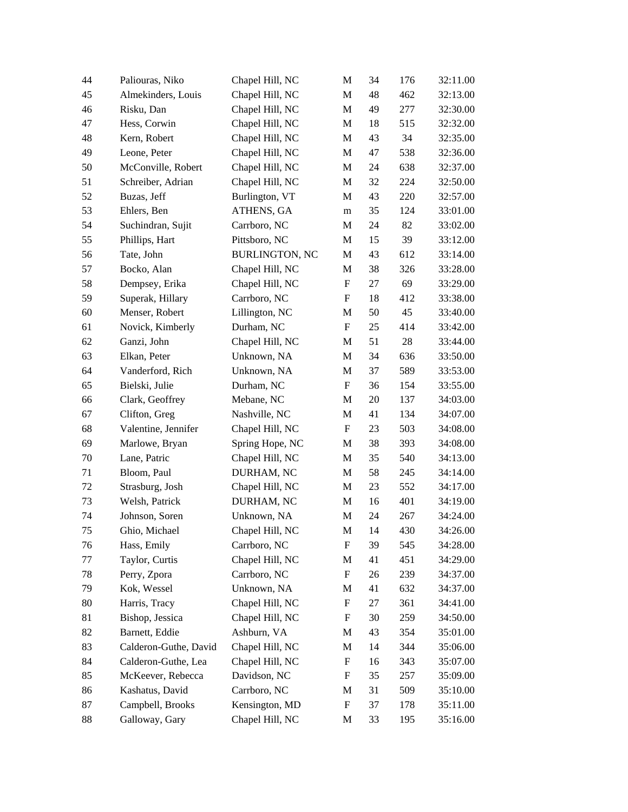| 44 | Paliouras, Niko       | Chapel Hill, NC       | M                         | 34     | 176 | 32:11.00 |
|----|-----------------------|-----------------------|---------------------------|--------|-----|----------|
| 45 | Almekinders, Louis    | Chapel Hill, NC       | M                         | 48     | 462 | 32:13.00 |
| 46 | Risku, Dan            | Chapel Hill, NC       | M                         | 49     | 277 | 32:30.00 |
| 47 | Hess, Corwin          | Chapel Hill, NC       | M                         | 18     | 515 | 32:32.00 |
| 48 | Kern, Robert          | Chapel Hill, NC       | M                         | 43     | 34  | 32:35.00 |
| 49 | Leone, Peter          | Chapel Hill, NC       | M                         | 47     | 538 | 32:36.00 |
| 50 | McConville, Robert    | Chapel Hill, NC       | M                         | 24     | 638 | 32:37.00 |
| 51 | Schreiber, Adrian     | Chapel Hill, NC       | M                         | 32     | 224 | 32:50.00 |
| 52 | Buzas, Jeff           | Burlington, VT        | M                         | 43     | 220 | 32:57.00 |
| 53 | Ehlers, Ben           | ATHENS, GA            | m                         | 35     | 124 | 33:01.00 |
| 54 | Suchindran, Sujit     | Carrboro, NC          | M                         | 24     | 82  | 33:02.00 |
| 55 | Phillips, Hart        | Pittsboro, NC         | M                         | 15     | 39  | 33:12.00 |
| 56 | Tate, John            | <b>BURLINGTON, NC</b> | M                         | 43     | 612 | 33:14.00 |
| 57 | Bocko, Alan           | Chapel Hill, NC       | M                         | 38     | 326 | 33:28.00 |
| 58 | Dempsey, Erika        | Chapel Hill, NC       | $\boldsymbol{\mathrm{F}}$ | 27     | 69  | 33:29.00 |
| 59 | Superak, Hillary      | Carrboro, NC          | F                         | 18     | 412 | 33:38.00 |
| 60 | Menser, Robert        | Lillington, NC        | M                         | 50     | 45  | 33:40.00 |
| 61 | Novick, Kimberly      | Durham, NC            | F                         | 25     | 414 | 33:42.00 |
| 62 | Ganzi, John           | Chapel Hill, NC       | M                         | 51     | 28  | 33:44.00 |
| 63 | Elkan, Peter          | Unknown, NA           | M                         | 34     | 636 | 33:50.00 |
| 64 | Vanderford, Rich      | Unknown, NA           | M                         | 37     | 589 | 33:53.00 |
| 65 | Bielski, Julie        | Durham, NC            | $\boldsymbol{\mathrm{F}}$ | 36     | 154 | 33:55.00 |
| 66 | Clark, Geoffrey       | Mebane, NC            | M                         | $20\,$ | 137 | 34:03.00 |
| 67 | Clifton, Greg         | Nashville, NC         | M                         | 41     | 134 | 34:07.00 |
| 68 | Valentine, Jennifer   | Chapel Hill, NC       | $\boldsymbol{\mathrm{F}}$ | 23     | 503 | 34:08.00 |
| 69 | Marlowe, Bryan        | Spring Hope, NC       | M                         | 38     | 393 | 34:08.00 |
| 70 | Lane, Patric          | Chapel Hill, NC       | M                         | 35     | 540 | 34:13.00 |
| 71 | Bloom, Paul           | DURHAM, NC            | M                         | 58     | 245 | 34:14.00 |
| 72 | Strasburg, Josh       | Chapel Hill, NC       | M                         | 23     | 552 | 34:17.00 |
| 73 | Welsh, Patrick        | DURHAM, NC            | M                         | 16     | 401 | 34:19.00 |
| 74 | Johnson, Soren        | Unknown, NA           | M                         | 24     | 267 | 34:24.00 |
| 75 | Ghio, Michael         | Chapel Hill, NC       | M                         | 14     | 430 | 34:26.00 |
| 76 | Hass, Emily           | Carrboro, NC          | $\boldsymbol{\mathrm{F}}$ | 39     | 545 | 34:28.00 |
| 77 | Taylor, Curtis        | Chapel Hill, NC       | M                         | 41     | 451 | 34:29.00 |
| 78 | Perry, Zpora          | Carrboro, NC          | F                         | 26     | 239 | 34:37.00 |
| 79 | Kok, Wessel           | Unknown, NA           | M                         | 41     | 632 | 34:37.00 |
| 80 | Harris, Tracy         | Chapel Hill, NC       | F                         | 27     | 361 | 34:41.00 |
| 81 | Bishop, Jessica       | Chapel Hill, NC       | F                         | 30     | 259 | 34:50.00 |
| 82 | Barnett, Eddie        | Ashburn, VA           | M                         | 43     | 354 | 35:01.00 |
| 83 | Calderon-Guthe, David | Chapel Hill, NC       | M                         | 14     | 344 | 35:06.00 |
| 84 | Calderon-Guthe, Lea   | Chapel Hill, NC       | $\mathbf F$               | 16     | 343 | 35:07.00 |
| 85 | McKeever, Rebecca     | Davidson, NC          | $\mathbf F$               | 35     | 257 | 35:09.00 |
| 86 | Kashatus, David       | Carrboro, NC          | M                         | 31     | 509 | 35:10.00 |
| 87 | Campbell, Brooks      | Kensington, MD        | $\boldsymbol{\mathrm{F}}$ | 37     | 178 | 35:11.00 |
| 88 | Galloway, Gary        | Chapel Hill, NC       | M                         | 33     | 195 | 35:16.00 |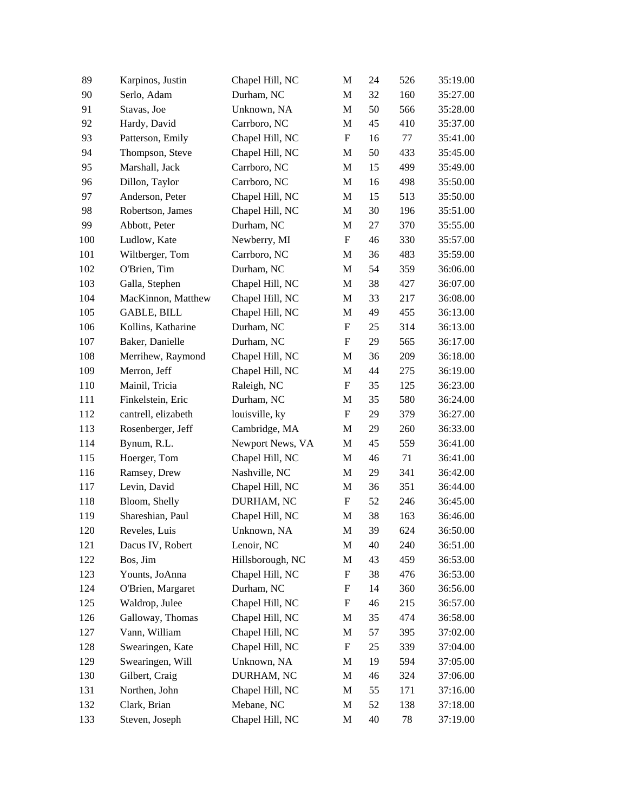| 89  | Karpinos, Justin    | Chapel Hill, NC  | M                         | 24 | 526 | 35:19.00 |
|-----|---------------------|------------------|---------------------------|----|-----|----------|
| 90  | Serlo, Adam         | Durham, NC       | M                         | 32 | 160 | 35:27.00 |
| 91  | Stavas, Joe         | Unknown, NA      | M                         | 50 | 566 | 35:28.00 |
| 92  | Hardy, David        | Carrboro, NC     | M                         | 45 | 410 | 35:37.00 |
| 93  | Patterson, Emily    | Chapel Hill, NC  | $\boldsymbol{\mathrm{F}}$ | 16 | 77  | 35:41.00 |
| 94  | Thompson, Steve     | Chapel Hill, NC  | M                         | 50 | 433 | 35:45.00 |
| 95  | Marshall, Jack      | Carrboro, NC     | M                         | 15 | 499 | 35:49.00 |
| 96  | Dillon, Taylor      | Carrboro, NC     | M                         | 16 | 498 | 35:50.00 |
| 97  | Anderson, Peter     | Chapel Hill, NC  | M                         | 15 | 513 | 35:50.00 |
| 98  | Robertson, James    | Chapel Hill, NC  | M                         | 30 | 196 | 35:51.00 |
| 99  | Abbott, Peter       | Durham, NC       | M                         | 27 | 370 | 35:55.00 |
| 100 | Ludlow, Kate        | Newberry, MI     | $\boldsymbol{\mathrm{F}}$ | 46 | 330 | 35:57.00 |
| 101 | Wiltberger, Tom     | Carrboro, NC     | M                         | 36 | 483 | 35:59.00 |
| 102 | O'Brien, Tim        | Durham, NC       | M                         | 54 | 359 | 36:06.00 |
| 103 | Galla, Stephen      | Chapel Hill, NC  | M                         | 38 | 427 | 36:07.00 |
| 104 | MacKinnon, Matthew  | Chapel Hill, NC  | M                         | 33 | 217 | 36:08.00 |
| 105 | <b>GABLE, BILL</b>  | Chapel Hill, NC  | M                         | 49 | 455 | 36:13.00 |
| 106 | Kollins, Katharine  | Durham, NC       | F                         | 25 | 314 | 36:13.00 |
| 107 | Baker, Danielle     | Durham, NC       | F                         | 29 | 565 | 36:17.00 |
| 108 | Merrihew, Raymond   | Chapel Hill, NC  | M                         | 36 | 209 | 36:18.00 |
| 109 | Merron, Jeff        | Chapel Hill, NC  | M                         | 44 | 275 | 36:19.00 |
| 110 | Mainil, Tricia      | Raleigh, NC      | F                         | 35 | 125 | 36:23.00 |
| 111 | Finkelstein, Eric   | Durham, NC       | M                         | 35 | 580 | 36:24.00 |
| 112 | cantrell, elizabeth | louisville, ky   | F                         | 29 | 379 | 36:27.00 |
| 113 | Rosenberger, Jeff   | Cambridge, MA    | M                         | 29 | 260 | 36:33.00 |
| 114 | Bynum, R.L.         | Newport News, VA | M                         | 45 | 559 | 36:41.00 |
| 115 | Hoerger, Tom        | Chapel Hill, NC  | M                         | 46 | 71  | 36:41.00 |
| 116 | Ramsey, Drew        | Nashville, NC    | M                         | 29 | 341 | 36:42.00 |
| 117 | Levin, David        | Chapel Hill, NC  | M                         | 36 | 351 | 36:44.00 |
| 118 | Bloom, Shelly       | DURHAM, NC       | $\boldsymbol{\mathrm{F}}$ | 52 | 246 | 36:45.00 |
| 119 | Shareshian, Paul    | Chapel Hill, NC  | M                         | 38 | 163 | 36:46.00 |
| 120 | Reveles, Luis       | Unknown, NA      | M                         | 39 | 624 | 36:50.00 |
| 121 | Dacus IV, Robert    | Lenoir, NC       | M                         | 40 | 240 | 36:51.00 |
| 122 | Bos, Jim            | Hillsborough, NC | M                         | 43 | 459 | 36:53.00 |
| 123 | Younts, JoAnna      | Chapel Hill, NC  | F                         | 38 | 476 | 36:53.00 |
| 124 | O'Brien, Margaret   | Durham, NC       | F                         | 14 | 360 | 36:56.00 |
| 125 | Waldrop, Julee      | Chapel Hill, NC  | $\boldsymbol{\mathrm{F}}$ | 46 | 215 | 36:57.00 |
| 126 | Galloway, Thomas    | Chapel Hill, NC  | M                         | 35 | 474 | 36:58.00 |
| 127 | Vann, William       | Chapel Hill, NC  | M                         | 57 | 395 | 37:02.00 |
| 128 | Swearingen, Kate    | Chapel Hill, NC  | $\boldsymbol{\mathrm{F}}$ | 25 | 339 | 37:04.00 |
| 129 | Swearingen, Will    | Unknown, NA      | M                         | 19 | 594 | 37:05.00 |
| 130 | Gilbert, Craig      | DURHAM, NC       | M                         | 46 | 324 | 37:06.00 |
| 131 | Northen, John       | Chapel Hill, NC  | M                         | 55 | 171 | 37:16.00 |
| 132 | Clark, Brian        | Mebane, NC       | M                         | 52 | 138 | 37:18.00 |
| 133 | Steven, Joseph      | Chapel Hill, NC  | M                         | 40 | 78  | 37:19.00 |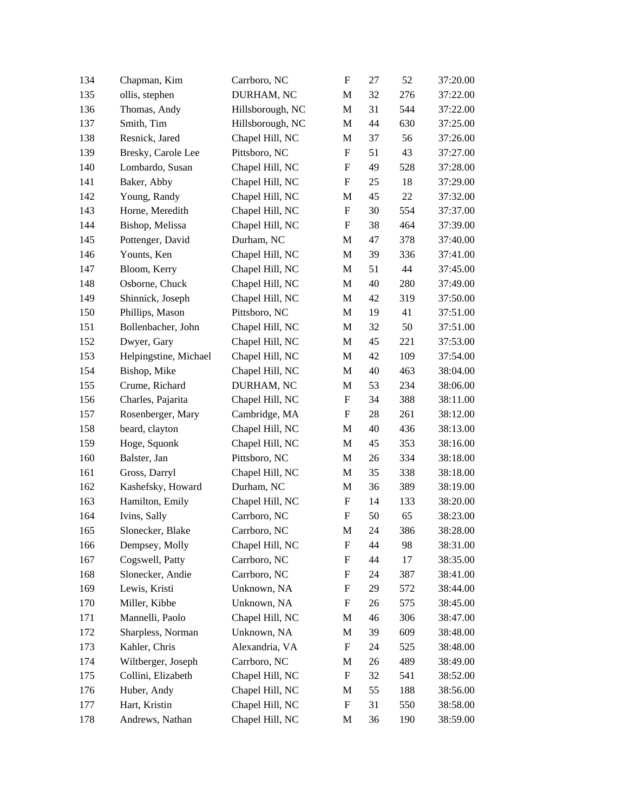| 134 | Chapman, Kim          | Carrboro, NC     | $\boldsymbol{\mathrm{F}}$ | 27 | 52     | 37:20.00 |
|-----|-----------------------|------------------|---------------------------|----|--------|----------|
| 135 | ollis, stephen        | DURHAM, NC       | M                         | 32 | 276    | 37:22.00 |
| 136 | Thomas, Andy          | Hillsborough, NC | M                         | 31 | 544    | 37:22.00 |
| 137 | Smith, Tim            | Hillsborough, NC | M                         | 44 | 630    | 37:25.00 |
| 138 | Resnick, Jared        | Chapel Hill, NC  | M                         | 37 | 56     | 37:26.00 |
| 139 | Bresky, Carole Lee    | Pittsboro, NC    | F                         | 51 | 43     | 37:27.00 |
| 140 | Lombardo, Susan       | Chapel Hill, NC  | F                         | 49 | 528    | 37:28.00 |
| 141 | Baker, Abby           | Chapel Hill, NC  | F                         | 25 | 18     | 37:29.00 |
| 142 | Young, Randy          | Chapel Hill, NC  | M                         | 45 | $22\,$ | 37:32.00 |
| 143 | Horne, Meredith       | Chapel Hill, NC  | $\boldsymbol{\mathrm{F}}$ | 30 | 554    | 37:37.00 |
| 144 | Bishop, Melissa       | Chapel Hill, NC  | F                         | 38 | 464    | 37:39.00 |
| 145 | Pottenger, David      | Durham, NC       | M                         | 47 | 378    | 37:40.00 |
| 146 | Younts, Ken           | Chapel Hill, NC  | M                         | 39 | 336    | 37:41.00 |
| 147 | Bloom, Kerry          | Chapel Hill, NC  | M                         | 51 | 44     | 37:45.00 |
| 148 | Osborne, Chuck        | Chapel Hill, NC  | M                         | 40 | 280    | 37:49.00 |
| 149 | Shinnick, Joseph      | Chapel Hill, NC  | M                         | 42 | 319    | 37:50.00 |
| 150 | Phillips, Mason       | Pittsboro, NC    | M                         | 19 | 41     | 37:51.00 |
| 151 | Bollenbacher, John    | Chapel Hill, NC  | M                         | 32 | 50     | 37:51.00 |
| 152 | Dwyer, Gary           | Chapel Hill, NC  | M                         | 45 | 221    | 37:53.00 |
| 153 | Helpingstine, Michael | Chapel Hill, NC  | M                         | 42 | 109    | 37:54.00 |
| 154 | Bishop, Mike          | Chapel Hill, NC  | M                         | 40 | 463    | 38:04.00 |
| 155 | Crume, Richard        | DURHAM, NC       | M                         | 53 | 234    | 38:06.00 |
| 156 | Charles, Pajarita     | Chapel Hill, NC  | F                         | 34 | 388    | 38:11.00 |
| 157 | Rosenberger, Mary     | Cambridge, MA    | F                         | 28 | 261    | 38:12.00 |
| 158 | beard, clayton        | Chapel Hill, NC  | M                         | 40 | 436    | 38:13.00 |
| 159 | Hoge, Squonk          | Chapel Hill, NC  | M                         | 45 | 353    | 38:16.00 |
| 160 | Balster, Jan          | Pittsboro, NC    | M                         | 26 | 334    | 38:18.00 |
| 161 | Gross, Darryl         | Chapel Hill, NC  | M                         | 35 | 338    | 38:18.00 |
| 162 | Kashefsky, Howard     | Durham, NC       | M                         | 36 | 389    | 38:19.00 |
| 163 | Hamilton, Emily       | Chapel Hill, NC  | F                         | 14 | 133    | 38:20.00 |
| 164 | Ivins, Sally          | Carrboro, NC     | F                         | 50 | 65     | 38:23.00 |
| 165 | Slonecker, Blake      | Carrboro, NC     | M                         | 24 | 386    | 38:28.00 |
| 166 | Dempsey, Molly        | Chapel Hill, NC  | F                         | 44 | 98     | 38:31.00 |
| 167 | Cogswell, Patty       | Carrboro, NC     | F                         | 44 | 17     | 38:35.00 |
| 168 | Slonecker, Andie      | Carrboro, NC     | F                         | 24 | 387    | 38:41.00 |
| 169 | Lewis, Kristi         | Unknown, NA      | F                         | 29 | 572    | 38:44.00 |
| 170 | Miller, Kibbe         | Unknown, NA      | ${\rm F}$                 | 26 | 575    | 38:45.00 |
| 171 | Mannelli, Paolo       | Chapel Hill, NC  | M                         | 46 | 306    | 38:47.00 |
| 172 | Sharpless, Norman     | Unknown, NA      | M                         | 39 | 609    | 38:48.00 |
| 173 | Kahler, Chris         | Alexandria, VA   | $\boldsymbol{\mathrm{F}}$ | 24 | 525    | 38:48.00 |
| 174 | Wiltberger, Joseph    | Carrboro, NC     | M                         | 26 | 489    | 38:49.00 |
| 175 | Collini, Elizabeth    | Chapel Hill, NC  | F                         | 32 | 541    | 38:52.00 |
| 176 | Huber, Andy           | Chapel Hill, NC  | M                         | 55 | 188    | 38:56.00 |
| 177 | Hart, Kristin         | Chapel Hill, NC  | $\boldsymbol{\mathrm{F}}$ | 31 | 550    | 38:58.00 |
| 178 | Andrews, Nathan       | Chapel Hill, NC  | M                         | 36 | 190    | 38:59.00 |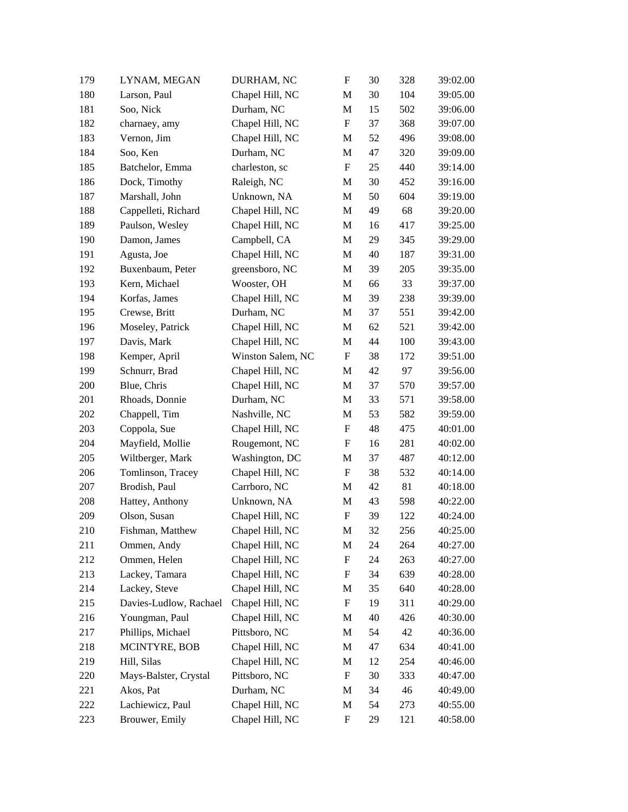| 179 | LYNAM, MEGAN           | DURHAM, NC        | ${\rm F}$                 | 30 | 328    | 39:02.00 |
|-----|------------------------|-------------------|---------------------------|----|--------|----------|
| 180 | Larson, Paul           | Chapel Hill, NC   | M                         | 30 | 104    | 39:05.00 |
| 181 | Soo, Nick              | Durham, NC        | M                         | 15 | 502    | 39:06.00 |
| 182 | charnaey, amy          | Chapel Hill, NC   | $\boldsymbol{\mathrm{F}}$ | 37 | 368    | 39:07.00 |
| 183 | Vernon, Jim            | Chapel Hill, NC   | M                         | 52 | 496    | 39:08.00 |
| 184 | Soo, Ken               | Durham, NC        | M                         | 47 | 320    | 39:09.00 |
| 185 | Batchelor, Emma        | charleston, sc    | $\boldsymbol{\mathrm{F}}$ | 25 | 440    | 39:14.00 |
| 186 | Dock, Timothy          | Raleigh, NC       | M                         | 30 | 452    | 39:16.00 |
| 187 | Marshall, John         | Unknown, NA       | M                         | 50 | 604    | 39:19.00 |
| 188 | Cappelleti, Richard    | Chapel Hill, NC   | M                         | 49 | 68     | 39:20.00 |
| 189 | Paulson, Wesley        | Chapel Hill, NC   | M                         | 16 | 417    | 39:25.00 |
| 190 | Damon, James           | Campbell, CA      | M                         | 29 | 345    | 39:29.00 |
| 191 | Agusta, Joe            | Chapel Hill, NC   | M                         | 40 | 187    | 39:31.00 |
| 192 | Buxenbaum, Peter       | greensboro, NC    | M                         | 39 | 205    | 39:35.00 |
| 193 | Kern, Michael          | Wooster, OH       | M                         | 66 | 33     | 39:37.00 |
| 194 | Korfas, James          | Chapel Hill, NC   | M                         | 39 | 238    | 39:39.00 |
| 195 | Crewse, Britt          | Durham, NC        | M                         | 37 | 551    | 39:42.00 |
| 196 | Moseley, Patrick       | Chapel Hill, NC   | M                         | 62 | 521    | 39:42.00 |
| 197 | Davis, Mark            | Chapel Hill, NC   | M                         | 44 | 100    | 39:43.00 |
| 198 | Kemper, April          | Winston Salem, NC | F                         | 38 | 172    | 39:51.00 |
| 199 | Schnurr, Brad          | Chapel Hill, NC   | M                         | 42 | 97     | 39:56.00 |
| 200 | Blue, Chris            | Chapel Hill, NC   | M                         | 37 | 570    | 39:57.00 |
| 201 | Rhoads, Donnie         | Durham, NC        | M                         | 33 | 571    | 39:58.00 |
| 202 | Chappell, Tim          | Nashville, NC     | M                         | 53 | 582    | 39:59.00 |
| 203 | Coppola, Sue           | Chapel Hill, NC   | F                         | 48 | 475    | 40:01.00 |
| 204 | Mayfield, Mollie       | Rougemont, NC     | F                         | 16 | 281    | 40:02.00 |
| 205 | Wiltberger, Mark       | Washington, DC    | M                         | 37 | 487    | 40:12.00 |
| 206 | Tomlinson, Tracey      | Chapel Hill, NC   | F                         | 38 | 532    | 40:14.00 |
| 207 | Brodish, Paul          | Carrboro, NC      | M                         | 42 | 81     | 40:18.00 |
| 208 | Hattey, Anthony        | Unknown, NA       | M                         | 43 | 598    | 40:22.00 |
| 209 | Olson, Susan           | Chapel Hill, NC   | F                         | 39 | 122    | 40:24.00 |
| 210 | Fishman, Matthew       | Chapel Hill, NC   | M                         | 32 | 256    | 40:25.00 |
| 211 | Ommen, Andy            | Chapel Hill, NC   | M                         | 24 | 264    | 40:27.00 |
| 212 | Ommen, Helen           | Chapel Hill, NC   | $\boldsymbol{\mathrm{F}}$ | 24 | 263    | 40:27.00 |
| 213 | Lackey, Tamara         | Chapel Hill, NC   | F                         | 34 | 639    | 40:28.00 |
| 214 | Lackey, Steve          | Chapel Hill, NC   | M                         | 35 | 640    | 40:28.00 |
| 215 | Davies-Ludlow, Rachael | Chapel Hill, NC   | $\boldsymbol{\mathrm{F}}$ | 19 | 311    | 40:29.00 |
| 216 | Youngman, Paul         | Chapel Hill, NC   | M                         | 40 | 426    | 40:30.00 |
| 217 | Phillips, Michael      | Pittsboro, NC     | M                         | 54 | 42     | 40:36.00 |
| 218 | MCINTYRE, BOB          | Chapel Hill, NC   | M                         | 47 | 634    | 40:41.00 |
| 219 | Hill, Silas            | Chapel Hill, NC   | M                         | 12 | 254    | 40:46.00 |
| 220 | Mays-Balster, Crystal  | Pittsboro, NC     | F                         | 30 | 333    | 40:47.00 |
| 221 | Akos, Pat              | Durham, NC        | M                         | 34 | $46\,$ | 40:49.00 |
| 222 | Lachiewicz, Paul       | Chapel Hill, NC   | M                         | 54 | 273    | 40:55.00 |
| 223 | Brouwer, Emily         | Chapel Hill, NC   | $\boldsymbol{\mathrm{F}}$ | 29 | 121    | 40:58.00 |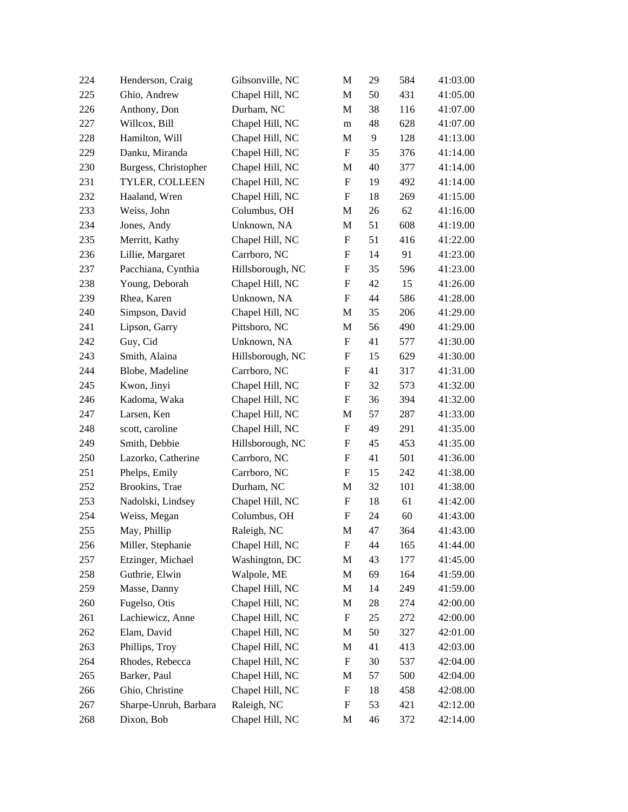| 224 | Henderson, Craig      | Gibsonville, NC  | M                         | 29 | 584 | 41:03.00 |
|-----|-----------------------|------------------|---------------------------|----|-----|----------|
| 225 | Ghio, Andrew          | Chapel Hill, NC  | M                         | 50 | 431 | 41:05.00 |
| 226 | Anthony, Don          | Durham, NC       | M                         | 38 | 116 | 41:07.00 |
| 227 | Willcox, Bill         | Chapel Hill, NC  | m                         | 48 | 628 | 41:07.00 |
| 228 | Hamilton, Will        | Chapel Hill, NC  | M                         | 9  | 128 | 41:13.00 |
| 229 | Danku, Miranda        | Chapel Hill, NC  | F                         | 35 | 376 | 41:14.00 |
| 230 | Burgess, Christopher  | Chapel Hill, NC  | M                         | 40 | 377 | 41:14.00 |
| 231 | TYLER, COLLEEN        | Chapel Hill, NC  | $\boldsymbol{\mathrm{F}}$ | 19 | 492 | 41:14.00 |
| 232 | Haaland, Wren         | Chapel Hill, NC  | F                         | 18 | 269 | 41:15.00 |
| 233 | Weiss, John           | Columbus, OH     | M                         | 26 | 62  | 41:16.00 |
| 234 | Jones, Andy           | Unknown, NA      | M                         | 51 | 608 | 41:19.00 |
| 235 | Merritt, Kathy        | Chapel Hill, NC  | $\boldsymbol{\mathrm{F}}$ | 51 | 416 | 41:22.00 |
| 236 | Lillie, Margaret      | Carrboro, NC     | F                         | 14 | 91  | 41:23.00 |
| 237 | Pacchiana, Cynthia    | Hillsborough, NC | F                         | 35 | 596 | 41:23.00 |
| 238 | Young, Deborah        | Chapel Hill, NC  | F                         | 42 | 15  | 41:26.00 |
| 239 | Rhea, Karen           | Unknown, NA      | F                         | 44 | 586 | 41:28.00 |
| 240 | Simpson, David        | Chapel Hill, NC  | M                         | 35 | 206 | 41:29.00 |
| 241 | Lipson, Garry         | Pittsboro, NC    | M                         | 56 | 490 | 41:29.00 |
| 242 | Guy, Cid              | Unknown, NA      | $\boldsymbol{\mathrm{F}}$ | 41 | 577 | 41:30.00 |
| 243 | Smith, Alaina         | Hillsborough, NC | F                         | 15 | 629 | 41:30.00 |
| 244 | Blobe, Madeline       | Carrboro, NC     | F                         | 41 | 317 | 41:31.00 |
| 245 | Kwon, Jinyi           | Chapel Hill, NC  | $\boldsymbol{\mathrm{F}}$ | 32 | 573 | 41:32.00 |
| 246 | Kadoma, Waka          | Chapel Hill, NC  | $\boldsymbol{\mathrm{F}}$ | 36 | 394 | 41:32.00 |
| 247 | Larsen, Ken           | Chapel Hill, NC  | M                         | 57 | 287 | 41:33.00 |
| 248 | scott, caroline       | Chapel Hill, NC  | F                         | 49 | 291 | 41:35.00 |
| 249 | Smith, Debbie         | Hillsborough, NC | F                         | 45 | 453 | 41:35.00 |
| 250 | Lazorko, Catherine    | Carrboro, NC     | F                         | 41 | 501 | 41:36.00 |
| 251 | Phelps, Emily         | Carrboro, NC     | F                         | 15 | 242 | 41:38.00 |
| 252 | Brookins, Trae        | Durham, NC       | М                         | 32 | 101 | 41:38.00 |
| 253 | Nadolski, Lindsey     | Chapel Hill, NC  | F                         | 18 | 61  | 41:42.00 |
| 254 | Weiss, Megan          | Columbus, OH     | F                         | 24 | 60  | 41:43.00 |
| 255 | May, Phillip          | Raleigh, NC      | M                         | 47 | 364 | 41:43.00 |
| 256 | Miller, Stephanie     | Chapel Hill, NC  | F                         | 44 | 165 | 41:44.00 |
| 257 | Etzinger, Michael     | Washington, DC   | M                         | 43 | 177 | 41:45.00 |
| 258 | Guthrie, Elwin        | Walpole, ME      | M                         | 69 | 164 | 41:59.00 |
| 259 | Masse, Danny          | Chapel Hill, NC  | M                         | 14 | 249 | 41:59.00 |
| 260 | Fugelso, Otis         | Chapel Hill, NC  | M                         | 28 | 274 | 42:00.00 |
| 261 | Lachiewicz, Anne      | Chapel Hill, NC  | $\boldsymbol{\mathrm{F}}$ | 25 | 272 | 42:00.00 |
| 262 | Elam, David           | Chapel Hill, NC  | M                         | 50 | 327 | 42:01.00 |
| 263 | Phillips, Troy        | Chapel Hill, NC  | M                         | 41 | 413 | 42:03.00 |
| 264 | Rhodes, Rebecca       | Chapel Hill, NC  | F                         | 30 | 537 | 42:04.00 |
| 265 | Barker, Paul          | Chapel Hill, NC  | M                         | 57 | 500 | 42:04.00 |
| 266 | Ghio, Christine       | Chapel Hill, NC  | ${\rm F}$                 | 18 | 458 | 42:08.00 |
| 267 | Sharpe-Unruh, Barbara | Raleigh, NC      | $\boldsymbol{\mathrm{F}}$ | 53 | 421 | 42:12.00 |
| 268 | Dixon, Bob            | Chapel Hill, NC  | M                         | 46 | 372 | 42:14.00 |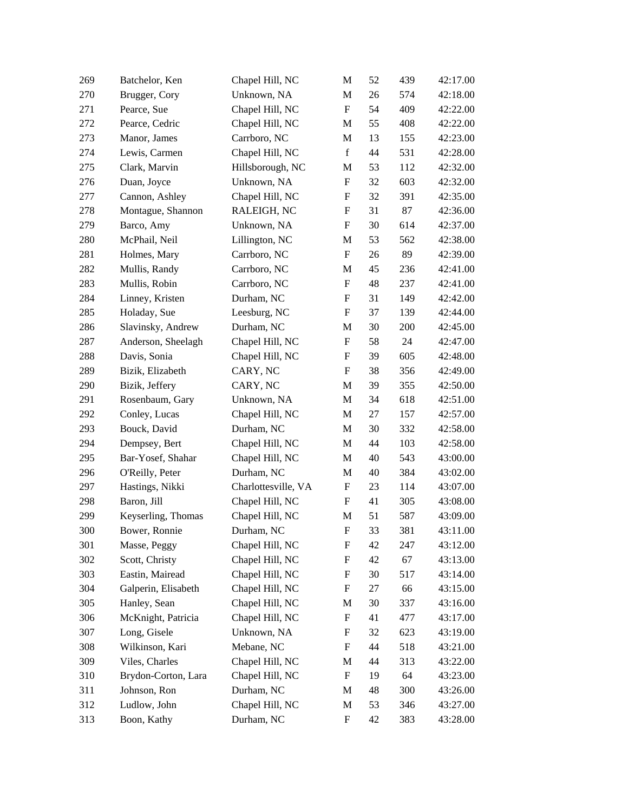| 269 | Batchelor, Ken      | Chapel Hill, NC     | M                         | 52 | 439 | 42:17.00 |
|-----|---------------------|---------------------|---------------------------|----|-----|----------|
| 270 | Brugger, Cory       | Unknown, NA         | M                         | 26 | 574 | 42:18.00 |
| 271 | Pearce, Sue         | Chapel Hill, NC     | $\boldsymbol{\mathrm{F}}$ | 54 | 409 | 42:22.00 |
| 272 | Pearce, Cedric      | Chapel Hill, NC     | M                         | 55 | 408 | 42:22.00 |
| 273 | Manor, James        | Carrboro, NC        | M                         | 13 | 155 | 42:23.00 |
| 274 | Lewis, Carmen       | Chapel Hill, NC     | $\mathbf f$               | 44 | 531 | 42:28.00 |
| 275 | Clark, Marvin       | Hillsborough, NC    | M                         | 53 | 112 | 42:32.00 |
| 276 | Duan, Joyce         | Unknown, NA         | $\boldsymbol{\mathrm{F}}$ | 32 | 603 | 42:32.00 |
| 277 | Cannon, Ashley      | Chapel Hill, NC     | F                         | 32 | 391 | 42:35.00 |
| 278 | Montague, Shannon   | RALEIGH, NC         | F                         | 31 | 87  | 42:36.00 |
| 279 | Barco, Amy          | Unknown, NA         | F                         | 30 | 614 | 42:37.00 |
| 280 | McPhail, Neil       | Lillington, NC      | M                         | 53 | 562 | 42:38.00 |
| 281 | Holmes, Mary        | Carrboro, NC        | F                         | 26 | 89  | 42:39.00 |
| 282 | Mullis, Randy       | Carrboro, NC        | M                         | 45 | 236 | 42:41.00 |
| 283 | Mullis, Robin       | Carrboro, NC        | $\boldsymbol{\mathrm{F}}$ | 48 | 237 | 42:41.00 |
| 284 | Linney, Kristen     | Durham, NC          | F                         | 31 | 149 | 42:42.00 |
| 285 | Holaday, Sue        | Leesburg, NC        | ${\bf F}$                 | 37 | 139 | 42:44.00 |
| 286 | Slavinsky, Andrew   | Durham, NC          | M                         | 30 | 200 | 42:45.00 |
| 287 | Anderson, Sheelagh  | Chapel Hill, NC     | $\boldsymbol{\mathrm{F}}$ | 58 | 24  | 42:47.00 |
| 288 | Davis, Sonia        | Chapel Hill, NC     | F                         | 39 | 605 | 42:48.00 |
| 289 | Bizik, Elizabeth    | CARY, NC            | F                         | 38 | 356 | 42:49.00 |
| 290 | Bizik, Jeffery      | CARY, NC            | M                         | 39 | 355 | 42:50.00 |
| 291 | Rosenbaum, Gary     | Unknown, NA         | M                         | 34 | 618 | 42:51.00 |
| 292 | Conley, Lucas       | Chapel Hill, NC     | M                         | 27 | 157 | 42:57.00 |
| 293 | Bouck, David        | Durham, NC          | M                         | 30 | 332 | 42:58.00 |
| 294 | Dempsey, Bert       | Chapel Hill, NC     | M                         | 44 | 103 | 42:58.00 |
| 295 | Bar-Yosef, Shahar   | Chapel Hill, NC     | M                         | 40 | 543 | 43:00.00 |
| 296 | O'Reilly, Peter     | Durham, NC          | M                         | 40 | 384 | 43:02.00 |
| 297 | Hastings, Nikki     | Charlottesville, VA | F                         | 23 | 114 | 43:07.00 |
| 298 | Baron, Jill         | Chapel Hill, NC     | F                         | 41 | 305 | 43:08.00 |
| 299 | Keyserling, Thomas  | Chapel Hill, NC     | M                         | 51 | 587 | 43:09.00 |
| 300 | Bower, Ronnie       | Durham, NC          | F                         | 33 | 381 | 43:11.00 |
| 301 | Masse, Peggy        | Chapel Hill, NC     | F                         | 42 | 247 | 43:12.00 |
| 302 | Scott, Christy      | Chapel Hill, NC     | F                         | 42 | 67  | 43:13.00 |
| 303 | Eastin, Mairead     | Chapel Hill, NC     | F                         | 30 | 517 | 43:14.00 |
| 304 | Galperin, Elisabeth | Chapel Hill, NC     | F                         | 27 | 66  | 43:15.00 |
| 305 | Hanley, Sean        | Chapel Hill, NC     | M                         | 30 | 337 | 43:16.00 |
| 306 | McKnight, Patricia  | Chapel Hill, NC     | F                         | 41 | 477 | 43:17.00 |
| 307 | Long, Gisele        | Unknown, NA         | F                         | 32 | 623 | 43:19.00 |
| 308 | Wilkinson, Kari     | Mebane, NC          | $\boldsymbol{\mathrm{F}}$ | 44 | 518 | 43:21.00 |
| 309 | Viles, Charles      | Chapel Hill, NC     | М                         | 44 | 313 | 43:22.00 |
| 310 | Brydon-Corton, Lara | Chapel Hill, NC     | F                         | 19 | 64  | 43:23.00 |
| 311 | Johnson, Ron        | Durham, NC          | M                         | 48 | 300 | 43:26.00 |
| 312 | Ludlow, John        | Chapel Hill, NC     | M                         | 53 | 346 | 43:27.00 |
| 313 | Boon, Kathy         | Durham, NC          | $\mathbf F$               | 42 | 383 | 43:28.00 |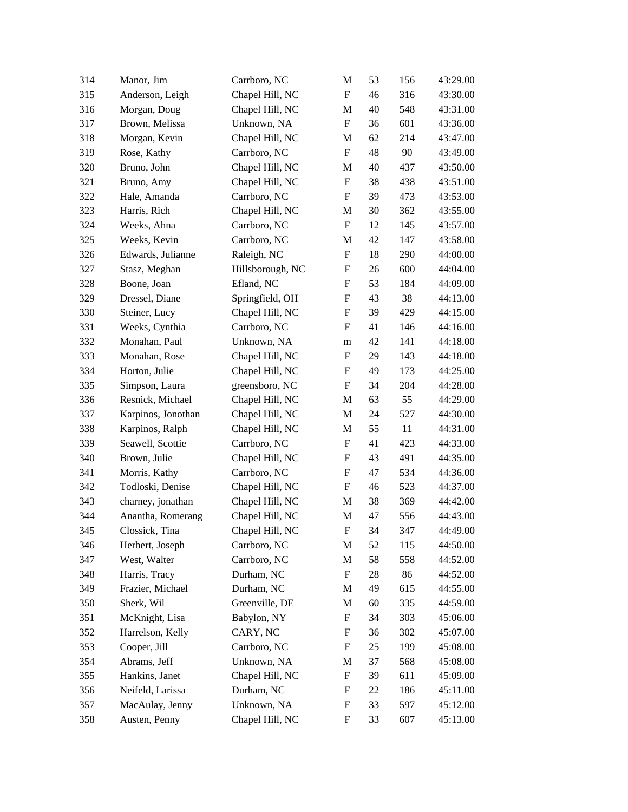| 314 | Manor, Jim         | Carrboro, NC     | M                         | 53 | 156 | 43:29.00 |
|-----|--------------------|------------------|---------------------------|----|-----|----------|
| 315 | Anderson, Leigh    | Chapel Hill, NC  | F                         | 46 | 316 | 43:30.00 |
| 316 | Morgan, Doug       | Chapel Hill, NC  | M                         | 40 | 548 | 43:31.00 |
| 317 | Brown, Melissa     | Unknown, NA      | $\boldsymbol{\mathrm{F}}$ | 36 | 601 | 43:36.00 |
| 318 | Morgan, Kevin      | Chapel Hill, NC  | M                         | 62 | 214 | 43:47.00 |
| 319 | Rose, Kathy        | Carrboro, NC     | $\boldsymbol{\mathrm{F}}$ | 48 | 90  | 43:49.00 |
| 320 | Bruno, John        | Chapel Hill, NC  | M                         | 40 | 437 | 43:50.00 |
| 321 | Bruno, Amy         | Chapel Hill, NC  | $\boldsymbol{\mathrm{F}}$ | 38 | 438 | 43:51.00 |
| 322 | Hale, Amanda       | Carrboro, NC     | $\boldsymbol{\mathrm{F}}$ | 39 | 473 | 43:53.00 |
| 323 | Harris, Rich       | Chapel Hill, NC  | M                         | 30 | 362 | 43:55.00 |
| 324 | Weeks, Ahna        | Carrboro, NC     | $\boldsymbol{\mathrm{F}}$ | 12 | 145 | 43:57.00 |
| 325 | Weeks, Kevin       | Carrboro, NC     | M                         | 42 | 147 | 43:58.00 |
| 326 | Edwards, Julianne  | Raleigh, NC      | F                         | 18 | 290 | 44:00.00 |
| 327 | Stasz, Meghan      | Hillsborough, NC | F                         | 26 | 600 | 44:04.00 |
| 328 | Boone, Joan        | Efland, NC       | $\boldsymbol{\mathrm{F}}$ | 53 | 184 | 44:09.00 |
| 329 | Dressel, Diane     | Springfield, OH  | F                         | 43 | 38  | 44:13.00 |
| 330 | Steiner, Lucy      | Chapel Hill, NC  | F                         | 39 | 429 | 44:15.00 |
| 331 | Weeks, Cynthia     | Carrboro, NC     | F                         | 41 | 146 | 44:16.00 |
| 332 | Monahan, Paul      | Unknown, NA      | m                         | 42 | 141 | 44:18.00 |
| 333 | Monahan, Rose      | Chapel Hill, NC  | F                         | 29 | 143 | 44:18.00 |
| 334 | Horton, Julie      | Chapel Hill, NC  | F                         | 49 | 173 | 44:25.00 |
| 335 | Simpson, Laura     | greensboro, NC   | F                         | 34 | 204 | 44:28.00 |
| 336 | Resnick, Michael   | Chapel Hill, NC  | M                         | 63 | 55  | 44:29.00 |
| 337 | Karpinos, Jonothan | Chapel Hill, NC  | M                         | 24 | 527 | 44:30.00 |
| 338 | Karpinos, Ralph    | Chapel Hill, NC  | M                         | 55 | 11  | 44:31.00 |
| 339 | Seawell, Scottie   | Carrboro, NC     | $\boldsymbol{\mathrm{F}}$ | 41 | 423 | 44:33.00 |
| 340 | Brown, Julie       | Chapel Hill, NC  | F                         | 43 | 491 | 44:35.00 |
| 341 | Morris, Kathy      | Carrboro, NC     | F                         | 47 | 534 | 44:36.00 |
| 342 | Todloski, Denise   | Chapel Hill, NC  | F                         | 46 | 523 | 44:37.00 |
| 343 | charney, jonathan  | Chapel Hill, NC  | M                         | 38 | 369 | 44:42.00 |
| 344 | Anantha, Romerang  | Chapel Hill, NC  | M                         | 47 | 556 | 44:43.00 |
| 345 | Clossick, Tina     | Chapel Hill, NC  | F                         | 34 | 347 | 44:49.00 |
| 346 | Herbert, Joseph    | Carrboro, NC     | M                         | 52 | 115 | 44:50.00 |
| 347 | West, Walter       | Carrboro, NC     | M                         | 58 | 558 | 44:52.00 |
| 348 | Harris, Tracy      | Durham, NC       | F                         | 28 | 86  | 44:52.00 |
| 349 | Frazier, Michael   | Durham, NC       | M                         | 49 | 615 | 44:55.00 |
| 350 | Sherk, Wil         | Greenville, DE   | M                         | 60 | 335 | 44:59.00 |
| 351 | McKnight, Lisa     | Babylon, NY      | F                         | 34 | 303 | 45:06.00 |
| 352 | Harrelson, Kelly   | CARY, NC         | F                         | 36 | 302 | 45:07.00 |
| 353 | Cooper, Jill       | Carrboro, NC     | ${\rm F}$                 | 25 | 199 | 45:08.00 |
| 354 | Abrams, Jeff       | Unknown, NA      | M                         | 37 | 568 | 45:08.00 |
| 355 | Hankins, Janet     | Chapel Hill, NC  | F                         | 39 | 611 | 45:09.00 |
| 356 | Neifeld, Larissa   | Durham, NC       | F                         | 22 | 186 | 45:11.00 |
| 357 | MacAulay, Jenny    | Unknown, NA      | ${\rm F}$                 | 33 | 597 | 45:12.00 |
| 358 | Austen, Penny      | Chapel Hill, NC  | ${\rm F}$                 | 33 | 607 | 45:13.00 |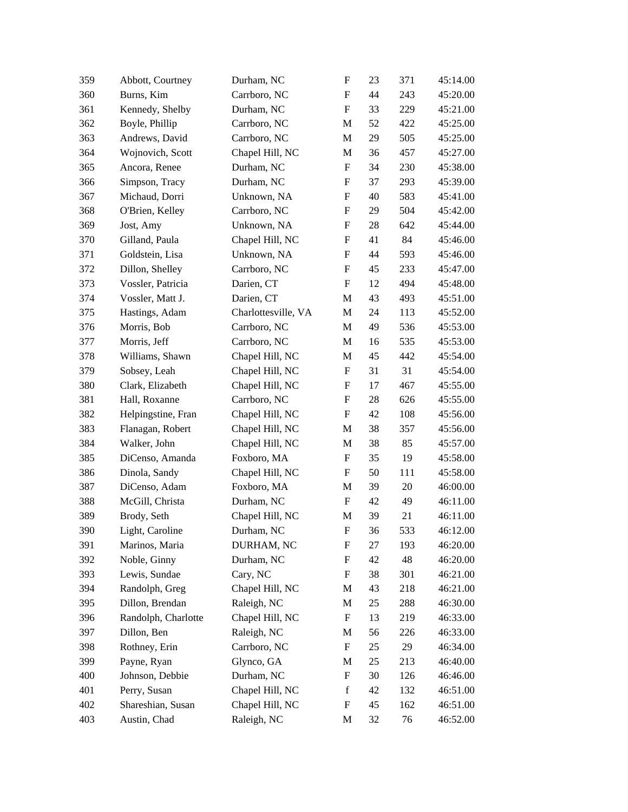| 359 | Abbott, Courtney    | Durham, NC          | ${\rm F}$                 | 23 | 371    | 45:14.00 |
|-----|---------------------|---------------------|---------------------------|----|--------|----------|
| 360 | Burns, Kim          | Carrboro, NC        | F                         | 44 | 243    | 45:20.00 |
| 361 | Kennedy, Shelby     | Durham, NC          | F                         | 33 | 229    | 45:21.00 |
| 362 | Boyle, Phillip      | Carrboro, NC        | M                         | 52 | 422    | 45:25.00 |
| 363 | Andrews, David      | Carrboro, NC        | M                         | 29 | 505    | 45:25.00 |
| 364 | Wojnovich, Scott    | Chapel Hill, NC     | M                         | 36 | 457    | 45:27.00 |
| 365 | Ancora, Renee       | Durham, NC          | F                         | 34 | 230    | 45:38.00 |
| 366 | Simpson, Tracy      | Durham, NC          | F                         | 37 | 293    | 45:39.00 |
| 367 | Michaud, Dorri      | Unknown, NA         | ${\rm F}$                 | 40 | 583    | 45:41.00 |
| 368 | O'Brien, Kelley     | Carrboro, NC        | F                         | 29 | 504    | 45:42.00 |
| 369 | Jost, Amy           | Unknown, NA         | F                         | 28 | 642    | 45:44.00 |
| 370 | Gilland, Paula      | Chapel Hill, NC     | ${\rm F}$                 | 41 | 84     | 45:46.00 |
| 371 | Goldstein, Lisa     | Unknown, NA         | F                         | 44 | 593    | 45:46.00 |
| 372 | Dillon, Shelley     | Carrboro, NC        | F                         | 45 | 233    | 45:47.00 |
| 373 | Vossler, Patricia   | Darien, CT          | ${\rm F}$                 | 12 | 494    | 45:48.00 |
| 374 | Vossler, Matt J.    | Darien, CT          | M                         | 43 | 493    | 45:51.00 |
| 375 | Hastings, Adam      | Charlottesville, VA | M                         | 24 | 113    | 45:52.00 |
| 376 | Morris, Bob         | Carrboro, NC        | M                         | 49 | 536    | 45:53.00 |
| 377 | Morris, Jeff        | Carrboro, NC        | M                         | 16 | 535    | 45:53.00 |
| 378 | Williams, Shawn     | Chapel Hill, NC     | M                         | 45 | 442    | 45:54.00 |
| 379 | Sobsey, Leah        | Chapel Hill, NC     | F                         | 31 | 31     | 45:54.00 |
| 380 | Clark, Elizabeth    | Chapel Hill, NC     | F                         | 17 | 467    | 45:55.00 |
| 381 | Hall, Roxanne       | Carrboro, NC        | ${\rm F}$                 | 28 | 626    | 45:55.00 |
| 382 | Helpingstine, Fran  | Chapel Hill, NC     | F                         | 42 | 108    | 45:56.00 |
| 383 | Flanagan, Robert    | Chapel Hill, NC     | M                         | 38 | 357    | 45:56.00 |
| 384 | Walker, John        | Chapel Hill, NC     | M                         | 38 | 85     | 45:57.00 |
| 385 | DiCenso, Amanda     | Foxboro, MA         | F                         | 35 | 19     | 45:58.00 |
| 386 | Dinola, Sandy       | Chapel Hill, NC     | F                         | 50 | 111    | 45:58.00 |
| 387 | DiCenso, Adam       | Foxboro, MA         | M                         | 39 | $20\,$ | 46:00.00 |
| 388 | McGill, Christa     | Durham, NC          | F                         | 42 | 49     | 46:11.00 |
| 389 | Brody, Seth         | Chapel Hill, NC     | M                         | 39 | 21     | 46:11.00 |
| 390 | Light, Caroline     | Durham, NC          | F                         | 36 | 533    | 46:12.00 |
| 391 | Marinos, Maria      | DURHAM, NC          | F                         | 27 | 193    | 46:20.00 |
| 392 | Noble, Ginny        | Durham, NC          | F                         | 42 | 48     | 46:20.00 |
| 393 | Lewis, Sundae       | Cary, NC            | F                         | 38 | 301    | 46:21.00 |
| 394 | Randolph, Greg      | Chapel Hill, NC     | M                         | 43 | 218    | 46:21.00 |
| 395 | Dillon, Brendan     | Raleigh, NC         | M                         | 25 | 288    | 46:30.00 |
| 396 | Randolph, Charlotte | Chapel Hill, NC     | F                         | 13 | 219    | 46:33.00 |
| 397 | Dillon, Ben         | Raleigh, NC         | M                         | 56 | 226    | 46:33.00 |
| 398 | Rothney, Erin       | Carrboro, NC        | $\boldsymbol{\mathrm{F}}$ | 25 | 29     | 46:34.00 |
| 399 | Payne, Ryan         | Glynco, GA          | M                         | 25 | 213    | 46:40.00 |
| 400 | Johnson, Debbie     | Durham, NC          | F                         | 30 | 126    | 46:46.00 |
| 401 | Perry, Susan        | Chapel Hill, NC     | $\mathbf f$               | 42 | 132    | 46:51.00 |
| 402 | Shareshian, Susan   | Chapel Hill, NC     | ${\rm F}$                 | 45 | 162    | 46:51.00 |
| 403 | Austin, Chad        | Raleigh, NC         | M                         | 32 | 76     | 46:52.00 |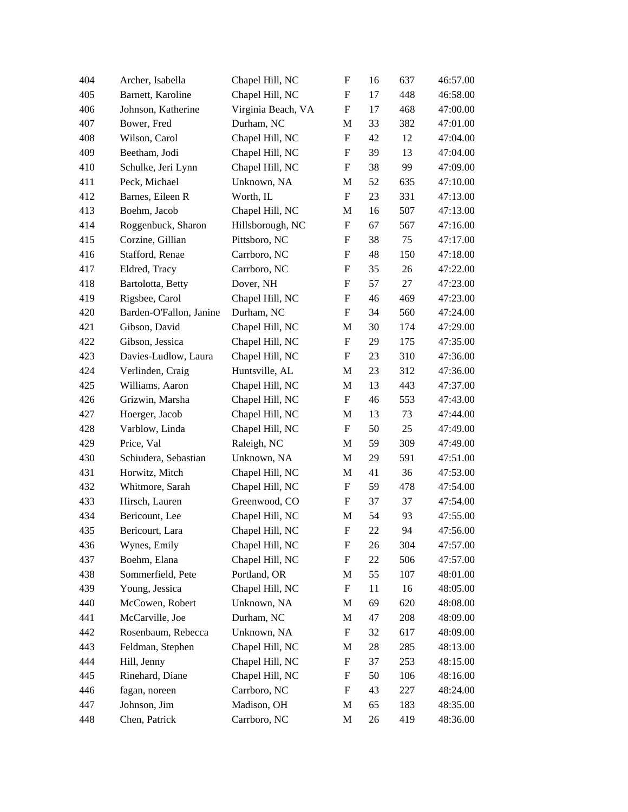| 404 | Archer, Isabella        | Chapel Hill, NC    | ${\rm F}$                 | 16 | 637 | 46:57.00 |
|-----|-------------------------|--------------------|---------------------------|----|-----|----------|
| 405 | Barnett, Karoline       | Chapel Hill, NC    | F                         | 17 | 448 | 46:58.00 |
| 406 | Johnson, Katherine      | Virginia Beach, VA | F                         | 17 | 468 | 47:00.00 |
| 407 | Bower, Fred             | Durham, NC         | M                         | 33 | 382 | 47:01.00 |
| 408 | Wilson, Carol           | Chapel Hill, NC    | ${\rm F}$                 | 42 | 12  | 47:04.00 |
| 409 | Beetham, Jodi           | Chapel Hill, NC    | F                         | 39 | 13  | 47:04.00 |
| 410 | Schulke, Jeri Lynn      | Chapel Hill, NC    | F                         | 38 | 99  | 47:09.00 |
| 411 | Peck, Michael           | Unknown, NA        | M                         | 52 | 635 | 47:10.00 |
| 412 | Barnes, Eileen R        | Worth, IL          | $\boldsymbol{\mathrm{F}}$ | 23 | 331 | 47:13.00 |
| 413 | Boehm, Jacob            | Chapel Hill, NC    | M                         | 16 | 507 | 47:13.00 |
| 414 | Roggenbuck, Sharon      | Hillsborough, NC   | ${\rm F}$                 | 67 | 567 | 47:16.00 |
| 415 | Corzine, Gillian        | Pittsboro, NC      | ${\rm F}$                 | 38 | 75  | 47:17.00 |
| 416 | Stafford, Renae         | Carrboro, NC       | F                         | 48 | 150 | 47:18.00 |
| 417 | Eldred, Tracy           | Carrboro, NC       | F                         | 35 | 26  | 47:22.00 |
| 418 | Bartolotta, Betty       | Dover, NH          | ${\rm F}$                 | 57 | 27  | 47:23.00 |
| 419 | Rigsbee, Carol          | Chapel Hill, NC    | F                         | 46 | 469 | 47:23.00 |
| 420 | Barden-O'Fallon, Janine | Durham, NC         | F                         | 34 | 560 | 47:24.00 |
| 421 | Gibson, David           | Chapel Hill, NC    | M                         | 30 | 174 | 47:29.00 |
| 422 | Gibson, Jessica         | Chapel Hill, NC    | ${\rm F}$                 | 29 | 175 | 47:35.00 |
| 423 | Davies-Ludlow, Laura    | Chapel Hill, NC    | F                         | 23 | 310 | 47:36.00 |
| 424 | Verlinden, Craig        | Huntsville, AL     | M                         | 23 | 312 | 47:36.00 |
| 425 | Williams, Aaron         | Chapel Hill, NC    | M                         | 13 | 443 | 47:37.00 |
| 426 | Grizwin, Marsha         | Chapel Hill, NC    | F                         | 46 | 553 | 47:43.00 |
| 427 | Hoerger, Jacob          | Chapel Hill, NC    | M                         | 13 | 73  | 47:44.00 |
| 428 | Varblow, Linda          | Chapel Hill, NC    | F                         | 50 | 25  | 47:49.00 |
| 429 | Price, Val              | Raleigh, NC        | M                         | 59 | 309 | 47:49.00 |
| 430 | Schiudera, Sebastian    | Unknown, NA        | M                         | 29 | 591 | 47:51.00 |
| 431 | Horwitz, Mitch          | Chapel Hill, NC    | M                         | 41 | 36  | 47:53.00 |
| 432 | Whitmore, Sarah         | Chapel Hill, NC    | F                         | 59 | 478 | 47:54.00 |
| 433 | Hirsch, Lauren          | Greenwood, CO      | F                         | 37 | 37  | 47:54.00 |
| 434 | Bericount, Lee          | Chapel Hill, NC    | M                         | 54 | 93  | 47:55.00 |
| 435 | Bericourt, Lara         | Chapel Hill, NC    | F                         | 22 | 94  | 47:56.00 |
| 436 | Wynes, Emily            | Chapel Hill, NC    | F                         | 26 | 304 | 47:57.00 |
| 437 | Boehm, Elana            | Chapel Hill, NC    | ${\rm F}$                 | 22 | 506 | 47:57.00 |
| 438 | Sommerfield, Pete       | Portland, OR       | M                         | 55 | 107 | 48:01.00 |
| 439 | Young, Jessica          | Chapel Hill, NC    | F                         | 11 | 16  | 48:05.00 |
| 440 | McCowen, Robert         | Unknown, NA        | M                         | 69 | 620 | 48:08.00 |
| 441 | McCarville, Joe         | Durham, NC         | M                         | 47 | 208 | 48:09.00 |
| 442 | Rosenbaum, Rebecca      | Unknown, NA        | F                         | 32 | 617 | 48:09.00 |
| 443 | Feldman, Stephen        | Chapel Hill, NC    | M                         | 28 | 285 | 48:13.00 |
| 444 | Hill, Jenny             | Chapel Hill, NC    | F                         | 37 | 253 | 48:15.00 |
| 445 | Rinehard, Diane         | Chapel Hill, NC    | F                         | 50 | 106 | 48:16.00 |
| 446 | fagan, noreen           | Carrboro, NC       | F                         | 43 | 227 | 48:24.00 |
| 447 | Johnson, Jim            | Madison, OH        | M                         | 65 | 183 | 48:35.00 |
| 448 | Chen, Patrick           | Carrboro, NC       | M                         | 26 | 419 | 48:36.00 |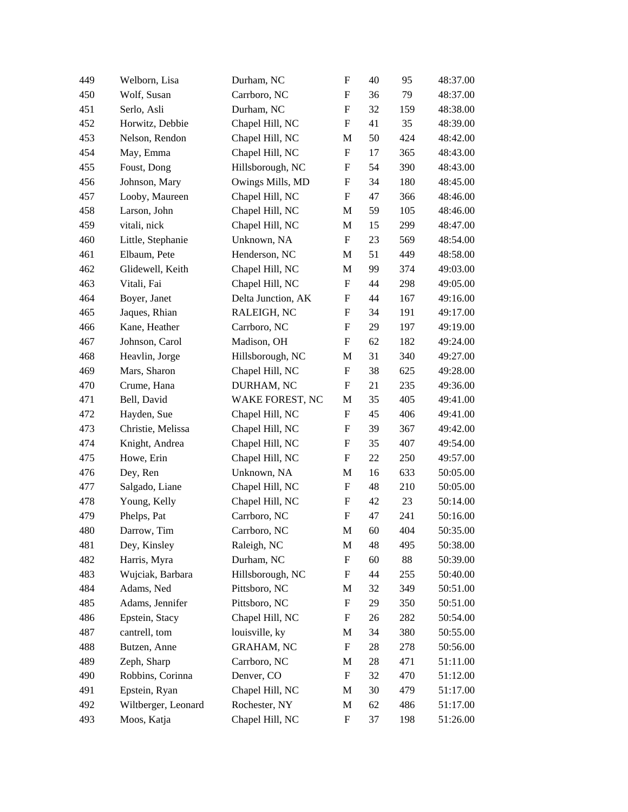| 449 | Welborn, Lisa       | Durham, NC         | ${\rm F}$                 | 40 | 95  | 48:37.00 |
|-----|---------------------|--------------------|---------------------------|----|-----|----------|
| 450 | Wolf, Susan         | Carrboro, NC       | F                         | 36 | 79  | 48:37.00 |
| 451 | Serlo, Asli         | Durham, NC         | F                         | 32 | 159 | 48:38.00 |
| 452 | Horwitz, Debbie     | Chapel Hill, NC    | ${\rm F}$                 | 41 | 35  | 48:39.00 |
| 453 | Nelson, Rendon      | Chapel Hill, NC    | M                         | 50 | 424 | 48:42.00 |
| 454 | May, Emma           | Chapel Hill, NC    | ${\rm F}$                 | 17 | 365 | 48:43.00 |
| 455 | Foust, Dong         | Hillsborough, NC   | F                         | 54 | 390 | 48:43.00 |
| 456 | Johnson, Mary       | Owings Mills, MD   | F                         | 34 | 180 | 48:45.00 |
| 457 | Looby, Maureen      | Chapel Hill, NC    | F                         | 47 | 366 | 48:46.00 |
| 458 | Larson, John        | Chapel Hill, NC    | M                         | 59 | 105 | 48:46.00 |
| 459 | vitali, nick        | Chapel Hill, NC    | M                         | 15 | 299 | 48:47.00 |
| 460 | Little, Stephanie   | Unknown, NA        | $\boldsymbol{\mathrm{F}}$ | 23 | 569 | 48:54.00 |
| 461 | Elbaum, Pete        | Henderson, NC      | M                         | 51 | 449 | 48:58.00 |
| 462 | Glidewell, Keith    | Chapel Hill, NC    | M                         | 99 | 374 | 49:03.00 |
| 463 | Vitali, Fai         | Chapel Hill, NC    | $\boldsymbol{\mathrm{F}}$ | 44 | 298 | 49:05.00 |
| 464 | Boyer, Janet        | Delta Junction, AK | F                         | 44 | 167 | 49:16.00 |
| 465 | Jaques, Rhian       | RALEIGH, NC        | F                         | 34 | 191 | 49:17.00 |
| 466 | Kane, Heather       | Carrboro, NC       | F                         | 29 | 197 | 49:19.00 |
| 467 | Johnson, Carol      | Madison, OH        | $\boldsymbol{\mathrm{F}}$ | 62 | 182 | 49:24.00 |
| 468 | Heavlin, Jorge      | Hillsborough, NC   | M                         | 31 | 340 | 49:27.00 |
| 469 | Mars, Sharon        | Chapel Hill, NC    | F                         | 38 | 625 | 49:28.00 |
| 470 | Crume, Hana         | DURHAM, NC         | F                         | 21 | 235 | 49:36.00 |
| 471 | Bell, David         | WAKE FOREST, NC    | M                         | 35 | 405 | 49:41.00 |
| 472 | Hayden, Sue         | Chapel Hill, NC    | F                         | 45 | 406 | 49:41.00 |
| 473 | Christie, Melissa   | Chapel Hill, NC    | F                         | 39 | 367 | 49:42.00 |
| 474 | Knight, Andrea      | Chapel Hill, NC    | $\boldsymbol{\mathrm{F}}$ | 35 | 407 | 49:54.00 |
| 475 | Howe, Erin          | Chapel Hill, NC    | F                         | 22 | 250 | 49:57.00 |
| 476 | Dey, Ren            | Unknown, NA        | M                         | 16 | 633 | 50:05.00 |
| 477 | Salgado, Liane      | Chapel Hill, NC    | F                         | 48 | 210 | 50:05.00 |
| 478 | Young, Kelly        | Chapel Hill, NC    | F                         | 42 | 23  | 50:14.00 |
| 479 | Phelps, Pat         | Carrboro, NC       | F                         | 47 | 241 | 50:16.00 |
| 480 | Darrow, Tim         | Carrboro, NC       | M                         | 60 | 404 | 50:35.00 |
| 481 | Dey, Kinsley        | Raleigh, NC        | M                         | 48 | 495 | 50:38.00 |
| 482 | Harris, Myra        | Durham, NC         | $\boldsymbol{\mathrm{F}}$ | 60 | 88  | 50:39.00 |
| 483 | Wujciak, Barbara    | Hillsborough, NC   | F                         | 44 | 255 | 50:40.00 |
| 484 | Adams, Ned          | Pittsboro, NC      | M                         | 32 | 349 | 50:51.00 |
| 485 | Adams, Jennifer     | Pittsboro, NC      | $\boldsymbol{\mathrm{F}}$ | 29 | 350 | 50:51.00 |
| 486 | Epstein, Stacy      | Chapel Hill, NC    | F                         | 26 | 282 | 50:54.00 |
| 487 | cantrell, tom       | louisville, ky     | M                         | 34 | 380 | 50:55.00 |
| 488 | Butzen, Anne        | <b>GRAHAM, NC</b>  | F                         | 28 | 278 | 50:56.00 |
| 489 | Zeph, Sharp         | Carrboro, NC       | M                         | 28 | 471 | 51:11.00 |
| 490 | Robbins, Corinna    | Denver, CO         | F                         | 32 | 470 | 51:12.00 |
| 491 | Epstein, Ryan       | Chapel Hill, NC    | M                         | 30 | 479 | 51:17.00 |
| 492 | Wiltberger, Leonard | Rochester, NY      | M                         | 62 | 486 | 51:17.00 |
| 493 | Moos, Katja         | Chapel Hill, NC    | F                         | 37 | 198 | 51:26.00 |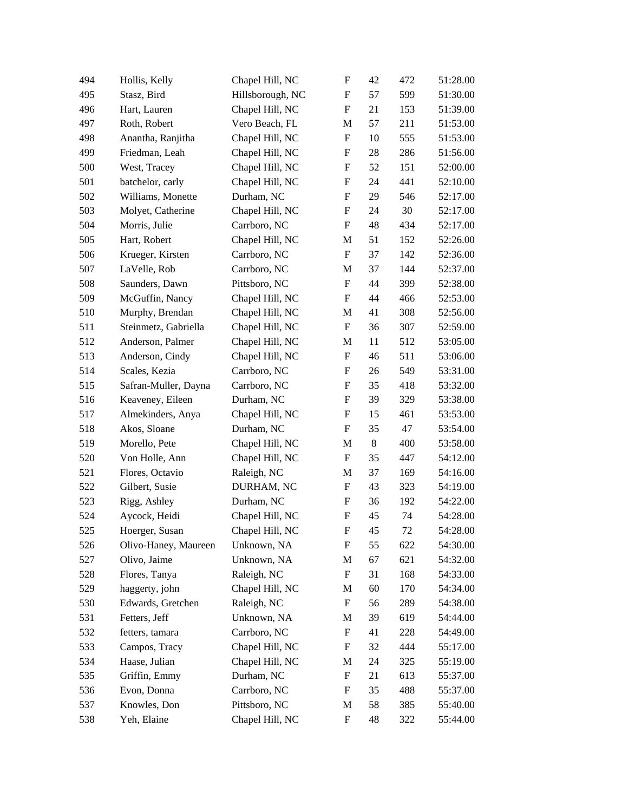| 494 | Hollis, Kelly        | Chapel Hill, NC  | $\boldsymbol{\mathrm{F}}$ | 42    | 472 | 51:28.00 |
|-----|----------------------|------------------|---------------------------|-------|-----|----------|
| 495 | Stasz, Bird          | Hillsborough, NC | F                         | 57    | 599 | 51:30.00 |
| 496 | Hart, Lauren         | Chapel Hill, NC  | F                         | 21    | 153 | 51:39.00 |
| 497 | Roth, Robert         | Vero Beach, FL   | M                         | 57    | 211 | 51:53.00 |
| 498 | Anantha, Ranjitha    | Chapel Hill, NC  | $\boldsymbol{\mathrm{F}}$ | 10    | 555 | 51:53.00 |
| 499 | Friedman, Leah       | Chapel Hill, NC  | F                         | 28    | 286 | 51:56.00 |
| 500 | West, Tracey         | Chapel Hill, NC  | F                         | 52    | 151 | 52:00.00 |
| 501 | batchelor, carly     | Chapel Hill, NC  | F                         | 24    | 441 | 52:10.00 |
| 502 | Williams, Monette    | Durham, NC       | F                         | 29    | 546 | 52:17.00 |
| 503 | Molyet, Catherine    | Chapel Hill, NC  | F                         | 24    | 30  | 52:17.00 |
| 504 | Morris, Julie        | Carrboro, NC     | F                         | 48    | 434 | 52:17.00 |
| 505 | Hart, Robert         | Chapel Hill, NC  | M                         | 51    | 152 | 52:26.00 |
| 506 | Krueger, Kirsten     | Carrboro, NC     | F                         | 37    | 142 | 52:36.00 |
| 507 | LaVelle, Rob         | Carrboro, NC     | M                         | 37    | 144 | 52:37.00 |
| 508 | Saunders, Dawn       | Pittsboro, NC    | $\boldsymbol{\mathrm{F}}$ | 44    | 399 | 52:38.00 |
| 509 | McGuffin, Nancy      | Chapel Hill, NC  | F                         | 44    | 466 | 52:53.00 |
| 510 | Murphy, Brendan      | Chapel Hill, NC  | M                         | 41    | 308 | 52:56.00 |
| 511 | Steinmetz, Gabriella | Chapel Hill, NC  | F                         | 36    | 307 | 52:59.00 |
| 512 | Anderson, Palmer     | Chapel Hill, NC  | M                         | 11    | 512 | 53:05.00 |
| 513 | Anderson, Cindy      | Chapel Hill, NC  | F                         | 46    | 511 | 53:06.00 |
| 514 | Scales, Kezia        | Carrboro, NC     | F                         | 26    | 549 | 53:31.00 |
| 515 | Safran-Muller, Dayna | Carrboro, NC     | F                         | 35    | 418 | 53:32.00 |
| 516 | Keaveney, Eileen     | Durham, NC       | $\boldsymbol{\mathrm{F}}$ | 39    | 329 | 53:38.00 |
| 517 | Almekinders, Anya    | Chapel Hill, NC  | F                         | 15    | 461 | 53:53.00 |
| 518 | Akos, Sloane         | Durham, NC       | F                         | 35    | 47  | 53:54.00 |
| 519 | Morello, Pete        | Chapel Hill, NC  | M                         | $\,8$ | 400 | 53:58.00 |
| 520 | Von Holle, Ann       | Chapel Hill, NC  | F                         | 35    | 447 | 54:12.00 |
| 521 | Flores, Octavio      | Raleigh, NC      | M                         | 37    | 169 | 54:16.00 |
| 522 | Gilbert, Susie       | DURHAM, NC       | F                         | 43    | 323 | 54:19.00 |
| 523 | Rigg, Ashley         | Durham, NC       | F                         | 36    | 192 | 54:22.00 |
| 524 | Aycock, Heidi        | Chapel Hill, NC  | F                         | 45    | 74  | 54:28.00 |
| 525 | Hoerger, Susan       | Chapel Hill, NC  | $\mathbf{F}$              | 45    | 72  | 54:28.00 |
| 526 | Olivo-Haney, Maureen | Unknown, NA      | F                         | 55    | 622 | 54:30.00 |
| 527 | Olivo, Jaime         | Unknown, NA      | M                         | 67    | 621 | 54:32.00 |
| 528 | Flores, Tanya        | Raleigh, NC      | $\boldsymbol{\mathrm{F}}$ | 31    | 168 | 54:33.00 |
| 529 | haggerty, john       | Chapel Hill, NC  | M                         | 60    | 170 | 54:34.00 |
| 530 | Edwards, Gretchen    | Raleigh, NC      | $\boldsymbol{\mathrm{F}}$ | 56    | 289 | 54:38.00 |
| 531 | Fetters, Jeff        | Unknown, NA      | M                         | 39    | 619 | 54:44.00 |
| 532 | fetters, tamara      | Carrboro, NC     | F                         | 41    | 228 | 54:49.00 |
| 533 | Campos, Tracy        | Chapel Hill, NC  | F                         | 32    | 444 | 55:17.00 |
| 534 | Haase, Julian        | Chapel Hill, NC  | M                         | 24    | 325 | 55:19.00 |
| 535 | Griffin, Emmy        | Durham, NC       | F                         | 21    | 613 | 55:37.00 |
| 536 | Evon, Donna          | Carrboro, NC     | F                         | 35    | 488 | 55:37.00 |
| 537 | Knowles, Don         | Pittsboro, NC    | M                         | 58    | 385 | 55:40.00 |
| 538 | Yeh, Elaine          | Chapel Hill, NC  | F                         | 48    | 322 | 55:44.00 |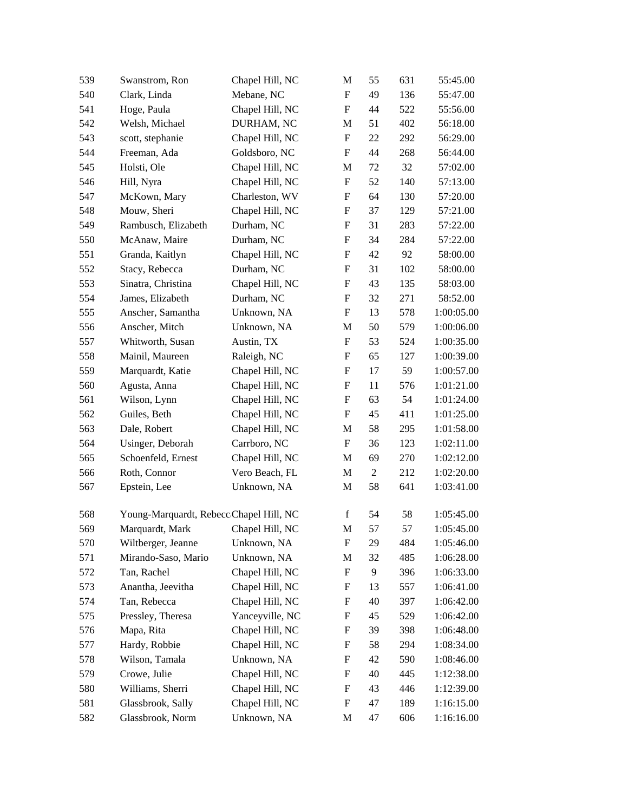| 539 | Swanstrom, Ron                          | Chapel Hill, NC | M                         | 55             | 631 | 55:45.00   |
|-----|-----------------------------------------|-----------------|---------------------------|----------------|-----|------------|
| 540 | Clark, Linda                            | Mebane, NC      | F                         | 49             | 136 | 55:47.00   |
| 541 | Hoge, Paula                             | Chapel Hill, NC | F                         | 44             | 522 | 55:56.00   |
| 542 | Welsh, Michael                          | DURHAM, NC      | M                         | 51             | 402 | 56:18.00   |
| 543 | scott, stephanie                        | Chapel Hill, NC | ${\rm F}$                 | 22             | 292 | 56:29.00   |
| 544 | Freeman, Ada                            | Goldsboro, NC   | ${\rm F}$                 | 44             | 268 | 56:44.00   |
| 545 | Holsti, Ole                             | Chapel Hill, NC | M                         | 72             | 32  | 57:02.00   |
| 546 | Hill, Nyra                              | Chapel Hill, NC | F                         | 52             | 140 | 57:13.00   |
| 547 | McKown, Mary                            | Charleston, WV  | ${\rm F}$                 | 64             | 130 | 57:20.00   |
| 548 | Mouw, Sheri                             | Chapel Hill, NC | ${\rm F}$                 | 37             | 129 | 57:21.00   |
| 549 | Rambusch, Elizabeth                     | Durham, NC      | F                         | 31             | 283 | 57:22.00   |
| 550 | McAnaw, Maire                           | Durham, NC      | F                         | 34             | 284 | 57:22.00   |
| 551 | Granda, Kaitlyn                         | Chapel Hill, NC | F                         | 42             | 92  | 58:00.00   |
| 552 | Stacy, Rebecca                          | Durham, NC      | F                         | 31             | 102 | 58:00.00   |
| 553 | Sinatra, Christina                      | Chapel Hill, NC | F                         | 43             | 135 | 58:03.00   |
| 554 | James, Elizabeth                        | Durham, NC      | $\boldsymbol{\mathrm{F}}$ | 32             | 271 | 58:52.00   |
| 555 | Anscher, Samantha                       | Unknown, NA     | F                         | 13             | 578 | 1:00:05.00 |
| 556 | Anscher, Mitch                          | Unknown, NA     | M                         | 50             | 579 | 1:00:06.00 |
| 557 | Whitworth, Susan                        | Austin, TX      | F                         | 53             | 524 | 1:00:35.00 |
| 558 | Mainil, Maureen                         | Raleigh, NC     | F                         | 65             | 127 | 1:00:39.00 |
| 559 | Marquardt, Katie                        | Chapel Hill, NC | ${\rm F}$                 | 17             | 59  | 1:00:57.00 |
| 560 | Agusta, Anna                            | Chapel Hill, NC | F                         | 11             | 576 | 1:01:21.00 |
| 561 | Wilson, Lynn                            | Chapel Hill, NC | ${\rm F}$                 | 63             | 54  | 1:01:24.00 |
| 562 | Guiles, Beth                            | Chapel Hill, NC | F                         | 45             | 411 | 1:01:25.00 |
| 563 | Dale, Robert                            | Chapel Hill, NC | M                         | 58             | 295 | 1:01:58.00 |
| 564 | Usinger, Deborah                        | Carrboro, NC    | ${\rm F}$                 | 36             | 123 | 1:02:11.00 |
| 565 | Schoenfeld, Ernest                      | Chapel Hill, NC | M                         | 69             | 270 | 1:02:12.00 |
| 566 | Roth, Connor                            | Vero Beach, FL  | M                         | $\overline{2}$ | 212 | 1:02:20.00 |
| 567 | Epstein, Lee                            | Unknown, NA     | M                         | 58             | 641 | 1:03:41.00 |
| 568 | Young-Marquardt, Rebecc Chapel Hill, NC |                 | $\mathbf f$               | 54             | 58  | 1:05:45.00 |
| 569 | Marquardt, Mark                         | Chapel Hill, NC | M                         | 57             | 57  | 1:05:45.00 |
| 570 | Wiltberger, Jeanne                      | Unknown, NA     | ${\rm F}$                 | 29             | 484 | 1:05:46.00 |
| 571 | Mirando-Saso, Mario                     | Unknown, NA     | M                         | 32             | 485 | 1:06:28.00 |
| 572 | Tan, Rachel                             | Chapel Hill, NC | F                         | 9              | 396 | 1:06:33.00 |
| 573 | Anantha, Jeevitha                       | Chapel Hill, NC | F                         | 13             | 557 | 1:06:41.00 |
| 574 | Tan, Rebecca                            | Chapel Hill, NC | F                         | 40             | 397 | 1:06:42.00 |
| 575 | Pressley, Theresa                       | Yanceyville, NC | F                         | 45             | 529 | 1:06:42.00 |
| 576 | Mapa, Rita                              | Chapel Hill, NC | F                         | 39             | 398 | 1:06:48.00 |
| 577 | Hardy, Robbie                           | Chapel Hill, NC | F                         | 58             | 294 | 1:08:34.00 |
| 578 | Wilson, Tamala                          | Unknown, NA     | F                         | 42             | 590 | 1:08:46.00 |
| 579 | Crowe, Julie                            | Chapel Hill, NC | F                         | 40             | 445 | 1:12:38.00 |
| 580 | Williams, Sherri                        | Chapel Hill, NC | ${\rm F}$                 | 43             | 446 | 1:12:39.00 |
| 581 | Glassbrook, Sally                       | Chapel Hill, NC | ${\rm F}$                 | 47             | 189 | 1:16:15.00 |
| 582 | Glassbrook, Norm                        | Unknown, NA     | M                         | 47             | 606 | 1:16:16.00 |